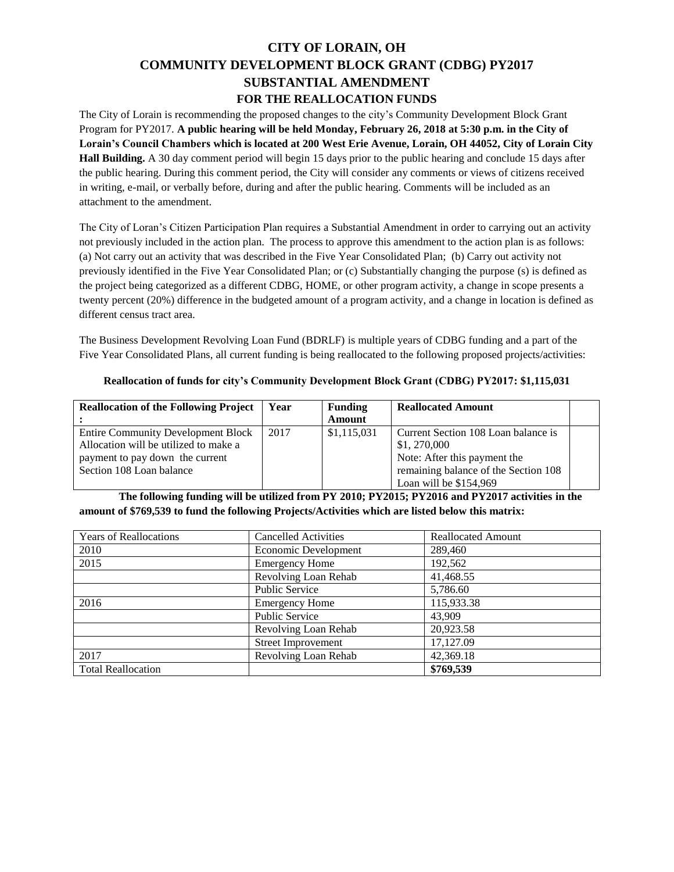## **CITY OF LORAIN, OH COMMUNITY DEVELOPMENT BLOCK GRANT (CDBG) PY2017 SUBSTANTIAL AMENDMENT FOR THE REALLOCATION FUNDS**

The City of Lorain is recommending the proposed changes to the city's Community Development Block Grant Program for PY2017. **A public hearing will be held Monday, February 26, 2018 at 5:30 p.m. in the City of Lorain's Council Chambers which is located at 200 West Erie Avenue, Lorain, OH 44052, City of Lorain City Hall Building.** A 30 day comment period will begin 15 days prior to the public hearing and conclude 15 days after the public hearing. During this comment period, the City will consider any comments or views of citizens received in writing, e-mail, or verbally before, during and after the public hearing. Comments will be included as an attachment to the amendment.

The City of Loran's Citizen Participation Plan requires a Substantial Amendment in order to carrying out an activity not previously included in the action plan. The process to approve this amendment to the action plan is as follows: (a) Not carry out an activity that was described in the Five Year Consolidated Plan; (b) Carry out activity not previously identified in the Five Year Consolidated Plan; or (c) Substantially changing the purpose (s) is defined as the project being categorized as a different CDBG, HOME, or other program activity, a change in scope presents a twenty percent (20%) difference in the budgeted amount of a program activity, and a change in location is defined as different census tract area.

The Business Development Revolving Loan Fund (BDRLF) is multiple years of CDBG funding and a part of the Five Year Consolidated Plans, all current funding is being reallocated to the following proposed projects/activities:

## **Reallocation of funds for city's Community Development Block Grant (CDBG) PY2017: \$1,115,031**

| <b>Reallocation of the Following Project</b> | Year | <b>Funding</b> | <b>Reallocated Amount</b>            |  |
|----------------------------------------------|------|----------------|--------------------------------------|--|
|                                              |      | Amount         |                                      |  |
| <b>Entire Community Development Block</b>    | 2017 | \$1,115,031    | Current Section 108 Loan balance is  |  |
| Allocation will be utilized to make a        |      |                | \$1,270,000                          |  |
| payment to pay down the current              |      |                | Note: After this payment the         |  |
| Section 108 Loan balance                     |      |                | remaining balance of the Section 108 |  |
|                                              |      |                | Loan will be $$154,969$              |  |

## **The following funding will be utilized from PY 2010; PY2015; PY2016 and PY2017 activities in the amount of \$769,539 to fund the following Projects/Activities which are listed below this matrix:**

| <b>Years of Reallocations</b> | <b>Cancelled Activities</b> | <b>Reallocated Amount</b> |  |
|-------------------------------|-----------------------------|---------------------------|--|
| 2010                          | Economic Development        | 289,460                   |  |
| 2015                          | <b>Emergency Home</b>       | 192,562                   |  |
|                               | Revolving Loan Rehab        | 41,468.55                 |  |
|                               | <b>Public Service</b>       | 5,786.60                  |  |
| 2016                          | <b>Emergency Home</b>       | 115,933.38                |  |
|                               | <b>Public Service</b>       | 43,909                    |  |
|                               | Revolving Loan Rehab        | 20,923.58                 |  |
|                               | <b>Street Improvement</b>   | 17,127.09                 |  |
| 2017                          | Revolving Loan Rehab        | 42,369.18                 |  |
| <b>Total Reallocation</b>     |                             | \$769,539                 |  |